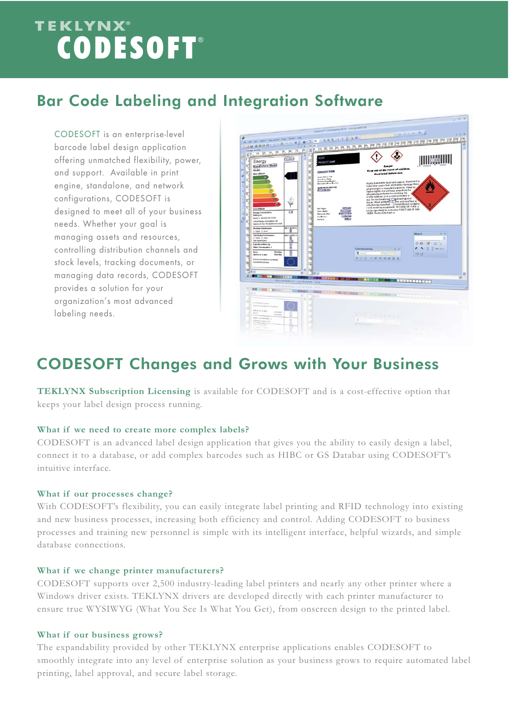# TEKLYNX®<br>LECODESOFT®

## Bar Code Labeling and Integration Software

CODESOFT is an enterprise-level barcode label design application offering unmatched flexibility, power, and support. Available in print engine, standalone, and network configurations, CODESOFT is designed to meet all of your business needs. Whether your goal is managing assets and resources, controlling distribution channels and stock levels, tracking documents, or managing data records, CODESOFT provides a solution for your organization's most advanced labeling needs.



### CODESOFT Changes and Grows with Your Business

**TEKLYNX Subscription Licensing** is available for CODESOFT and is a cost-effective option that keeps your label design process running.

#### **What if we need to create more complex labels?**

CODESOFT is an advanced label design application that gives you the ability to easily design a label, connect it to a database, or add complex barcodes such as HIBC or GS Databar using CODESOFT's intuitive interface.

#### **What if our processes change?**

With CODESOFT's flexibility, you can easily integrate label printing and RFID technology into existing and new business processes, increasing both efficiency and control. Adding CODESOFT to business processes and training new personnel is simple with its intelligent interface, helpful wizards, and simple database connections.

#### **What if we change printer manufacturers?**

CODESOFT supports over 2,500 industry-leading label printers and nearly any other printer where a Windows driver exists. TEKLYNX drivers are developed directly with each printer manufacturer to ensure true WYSIWYG (What You See Is What You Get), from onscreen design to the printed label.

#### **What if our business grows?**

The expandability provided by other TEKLYNX enterprise applications enables CODESOFT to smoothly integrate into any level of enterprise solution as your business grows to require automated label printing, label approval, and secure label storage.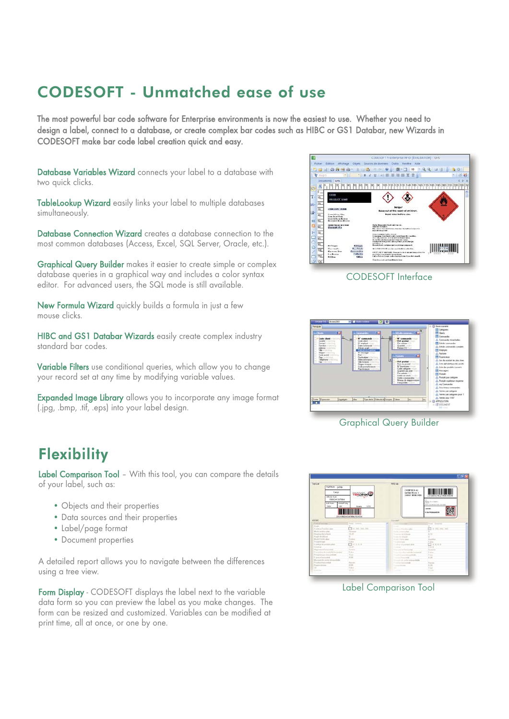### CODESOFT - Unmatched ease of use

The most powerful bar code software for Enterprise environments is now the easiest to use. Whether you need to design a label, connect to a database, or create complex bar codes such as HIBC or GS1 Databar, new Wizards in CODESOFT make bar code label creation quick and easy.

Database Variables Wizard connects your label to a database with two quick clicks.

TableLookup Wizard easily links your label to multiple databases simultaneously.

Database Connection Wizard creates a database connection to the most common databases (Access, Excel, SQL Server, Oracle, etc.).

Graphical Query Builder makes it easier to create simple or complex database queries in a graphical way and includes a color syntax editor. For advanced users, the SQL mode is still available.

New Formula Wizard quickly builds a formula in just a few mouse clicks.

HIBC and GS1 Databar Wizards easily create complex industry standard bar codes.

Variable Filters use conditional queries, which allow you to change your record set at any time by modifying variable values.

Expanded Image Library allows you to incorporate any image format (.jpg, .bmp, .tif, .eps) into your label design.

## **Flexibility**

Label Comparison Tool – With this tool, you can compare the details of your label, such as:

- Objects and their properties
- Data sources and their properties
- Label/page format
- Document properties

A detailed report allows you to navigate between the differences using a tree view.

Form Display - CODESOFT displays the label next to the variable data form so you can preview the label as you make changes. The form can be resized and customized. Variables can be modified at print time, all at once, or one by one.







#### Graphical Query Builder



Label Comparison Tool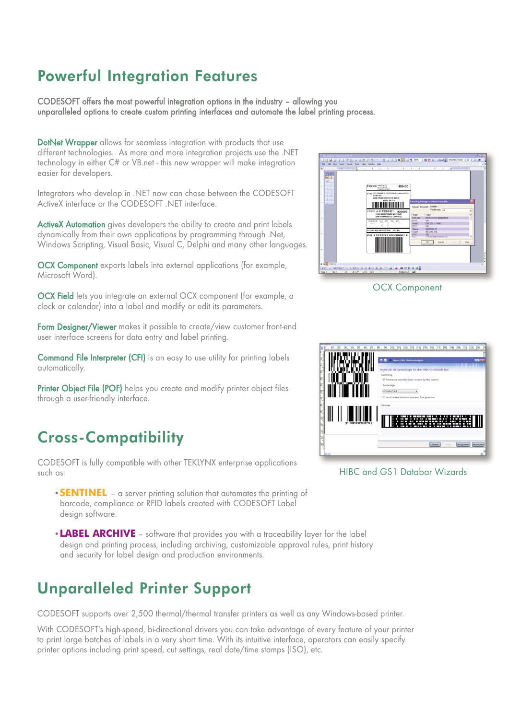## Powerful Integration Features

CODESOFT offers the most powerful integration options in the industry – allowing you unparalleled options to create custom printing interfaces and automate the label printing process.

DotNet Wrapper allows for seamless integration with products that use different technologies. As more and more integration projects use the .NET technology in either C# or VB.net - this new wrapper will make integration easier for developers.

Integrators who develop in .NET now can chose between the CODESOFT ActiveX interface or the CODESOFT .NET interface.

ActiveX Automation gives developers the ability to create and print labels dynamically from their own applications by programming through .Net, Windows Scripting, Visual Basic, Visual C, Delphi and many other languages.

OCX Component exports labels into external applications (for example, Microsoft Word).

OCX Field lets you integrate an external OCX component (for example, a clock or calendar) into a label and modify or edit its parameters.

Form Designer/Viewer makes it possible to create/view customer front-end user interface screens for data entry and label printing.

Command File Interpreter (CFI) is an easy to use utility for printing labels automatically.

Printer Object File (POF) helps you create and modify printer object files through a user-friendly interface.

## Cross-Compatibility

CODESOFT is fully compatible with other TEKLYNX enterprise applications such as:

- **SENTINEL** a server printing solution that automates the printing of barcode, compliance or RFID labels created with CODESOFT Label design software.
- **LABEL ARCHIVE** software that provides you with a traceability layer for the label design and printing process, including archiving, customizable approval rules, print history and security for label design and production environments.

## Unparalleled Printer Support

CODESOFT supports over 2,500 thermal/thermal transfer printers as well as any Windows-based printer.

With CODESOFT's high-speed, bi-directional drivers you can take advantage of every feature of your printer to print large batches of labels in a very short time. With its intuitive interface, operators can easily specify printer options including print speed, cut settings, real date/time stamps (ISO), etc.



OCX Component



HIBC and GS1 Databar Wizards